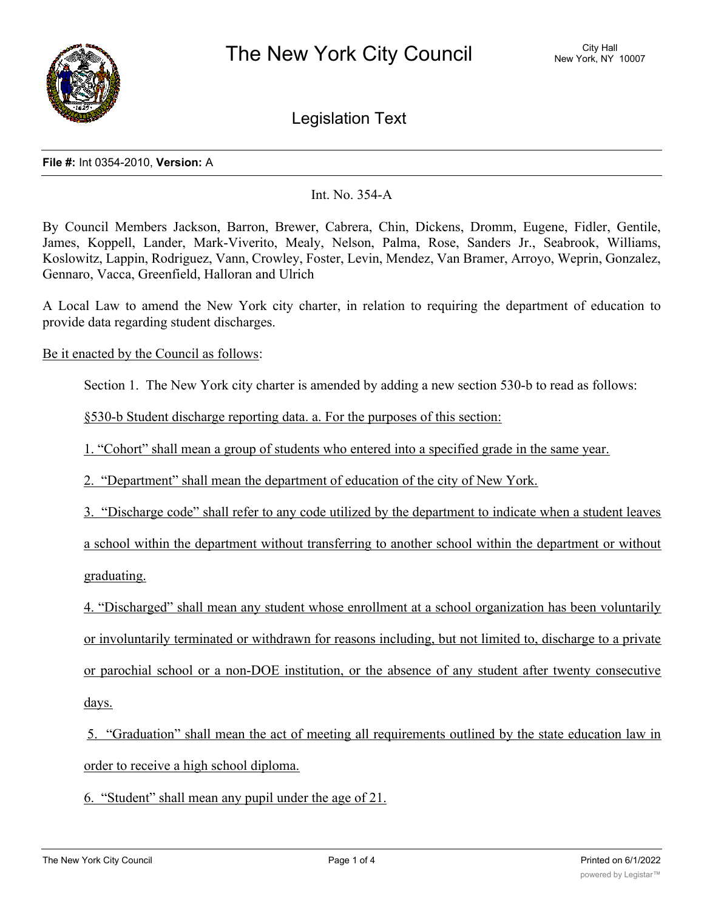

Legislation Text

## **File #:** Int 0354-2010, **Version:** A

## Int. No. 354-A

By Council Members Jackson, Barron, Brewer, Cabrera, Chin, Dickens, Dromm, Eugene, Fidler, Gentile, James, Koppell, Lander, Mark-Viverito, Mealy, Nelson, Palma, Rose, Sanders Jr., Seabrook, Williams, Koslowitz, Lappin, Rodriguez, Vann, Crowley, Foster, Levin, Mendez, Van Bramer, Arroyo, Weprin, Gonzalez, Gennaro, Vacca, Greenfield, Halloran and Ulrich

A Local Law to amend the New York city charter, in relation to requiring the department of education to provide data regarding student discharges.

Be it enacted by the Council as follows:

Section 1. The New York city charter is amended by adding a new section 530-b to read as follows:

§530-b Student discharge reporting data. a. For the purposes of this section:

1. "Cohort" shall mean a group of students who entered into a specified grade in the same year.

2. "Department" shall mean the department of education of the city of New York.

3. "Discharge code" shall refer to any code utilized by the department to indicate when a student leaves

a school within the department without transferring to another school within the department or without graduating.

4. "Discharged" shall mean any student whose enrollment at a school organization has been voluntarily or involuntarily terminated or withdrawn for reasons including, but not limited to, discharge to a private or parochial school or a non-DOE institution, or the absence of any student after twenty consecutive days.

5. "Graduation" shall mean the act of meeting all requirements outlined by the state education law in order to receive a high school diploma.

6. "Student" shall mean any pupil under the age of 21.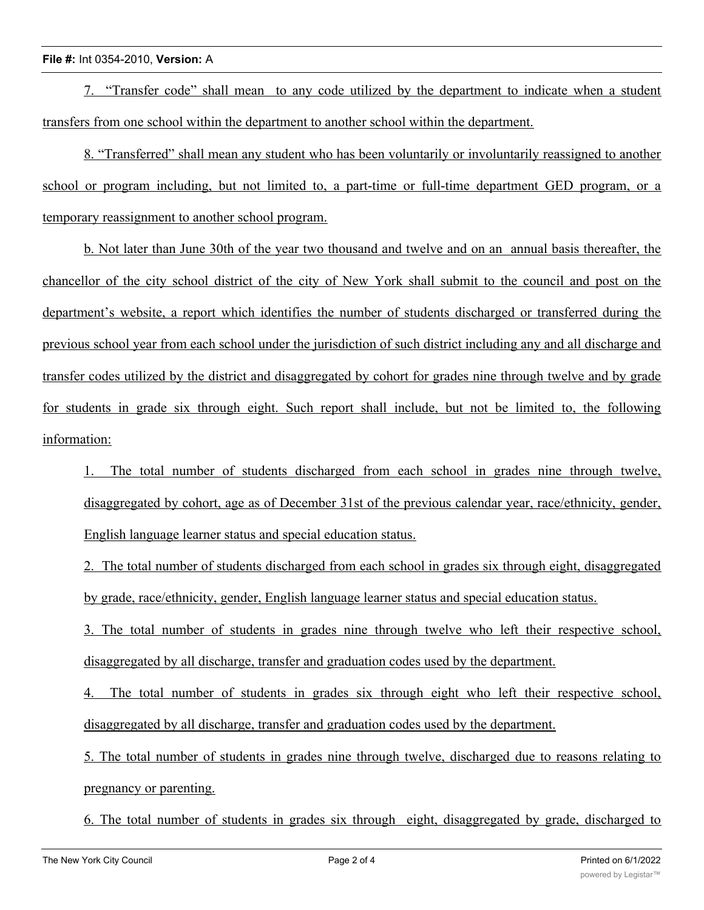## **File #:** Int 0354-2010, **Version:** A

7. "Transfer code" shall mean to any code utilized by the department to indicate when a student transfers from one school within the department to another school within the department.

8. "Transferred" shall mean any student who has been voluntarily or involuntarily reassigned to another school or program including, but not limited to, a part-time or full-time department GED program, or a temporary reassignment to another school program.

b. Not later than June 30th of the year two thousand and twelve and on an annual basis thereafter, the chancellor of the city school district of the city of New York shall submit to the council and post on the department's website, a report which identifies the number of students discharged or transferred during the previous school year from each school under the jurisdiction of such district including any and all discharge and transfer codes utilized by the district and disaggregated by cohort for grades nine through twelve and by grade for students in grade six through eight. Such report shall include, but not be limited to, the following information:

1. The total number of students discharged from each school in grades nine through twelve, disaggregated by cohort, age as of December 31st of the previous calendar year, race/ethnicity, gender, English language learner status and special education status.

2. The total number of students discharged from each school in grades six through eight, disaggregated by grade, race/ethnicity, gender, English language learner status and special education status.

3. The total number of students in grades nine through twelve who left their respective school, disaggregated by all discharge, transfer and graduation codes used by the department.

4. The total number of students in grades six through eight who left their respective school, disaggregated by all discharge, transfer and graduation codes used by the department.

5. The total number of students in grades nine through twelve, discharged due to reasons relating to pregnancy or parenting.

6. The total number of students in grades six through eight, disaggregated by grade, discharged to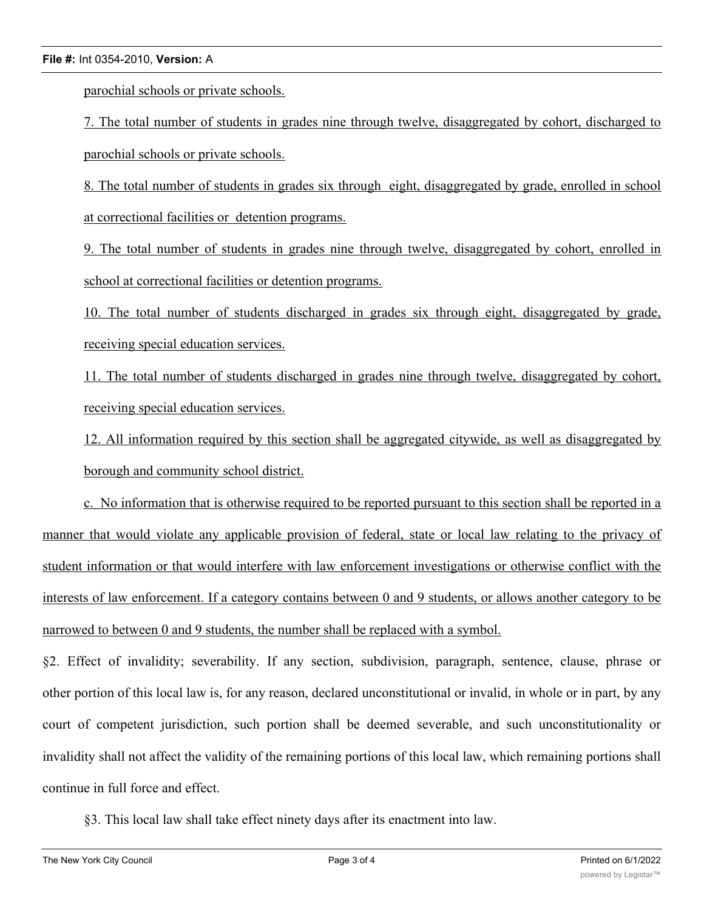## **File #:** Int 0354-2010, **Version:** A

parochial schools or private schools.

7. The total number of students in grades nine through twelve, disaggregated by cohort, discharged to parochial schools or private schools.

8. The total number of students in grades six through eight, disaggregated by grade, enrolled in school at correctional facilities or detention programs.

9. The total number of students in grades nine through twelve, disaggregated by cohort, enrolled in school at correctional facilities or detention programs.

10. The total number of students discharged in grades six through eight, disaggregated by grade, receiving special education services.

11. The total number of students discharged in grades nine through twelve, disaggregated by cohort, receiving special education services.

12. All information required by this section shall be aggregated citywide, as well as disaggregated by borough and community school district.

c. No information that is otherwise required to be reported pursuant to this section shall be reported in a manner that would violate any applicable provision of federal, state or local law relating to the privacy of student information or that would interfere with law enforcement investigations or otherwise conflict with the interests of law enforcement. If a category contains between 0 and 9 students, or allows another category to be narrowed to between 0 and 9 students, the number shall be replaced with a symbol.

§2. Effect of invalidity; severability. If any section, subdivision, paragraph, sentence, clause, phrase or other portion of this local law is, for any reason, declared unconstitutional or invalid, in whole or in part, by any court of competent jurisdiction, such portion shall be deemed severable, and such unconstitutionality or invalidity shall not affect the validity of the remaining portions of this local law, which remaining portions shall continue in full force and effect.

§3. This local law shall take effect ninety days after its enactment into law.